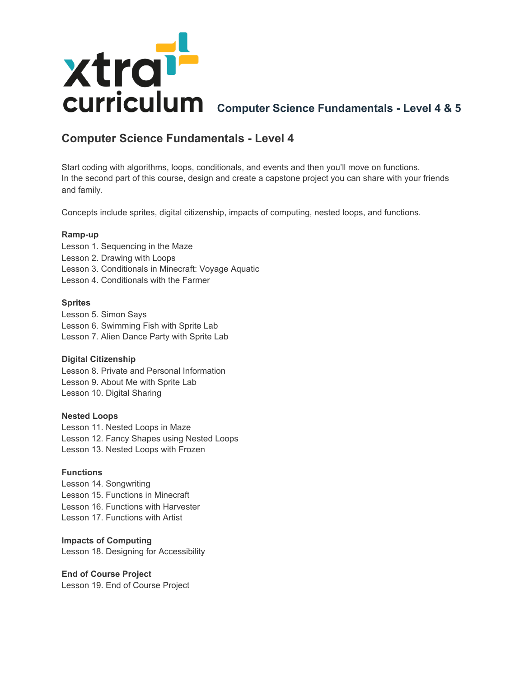

# **Computer Science Fundamentals - Level 4**

Start coding with algorithms, loops, conditionals, and events and then you'll move on functions. In the second part of this course, design and create a capstone project you can share with your friends and family.

Concepts include sprites, digital citizenship, impacts of computing, nested loops, and functions.

# **Ramp-up**

Lesson 1. Sequencing in the Maze Lesson 2. Drawing with Loops Lesson 3. Conditionals in Minecraft: Voyage Aquatic Lesson 4. Conditionals with the Farmer

## **Sprites**

Lesson 5. Simon Says Lesson 6. Swimming Fish with Sprite Lab Lesson 7. Alien Dance Party with Sprite Lab

# **Digital Citizenship**

Lesson 8. Private and Personal Information Lesson 9. About Me with Sprite Lab Lesson 10. Digital Sharing

### **Nested Loops**

Lesson 11. Nested Loops in Maze Lesson 12. Fancy Shapes using Nested Loops Lesson 13. Nested Loops with Frozen

### **Functions**

Lesson 14. Songwriting Lesson 15. Functions in Minecraft Lesson 16. Functions with Harvester Lesson 17. Functions with Artist

### **Impacts of Computing**

Lesson 18. Designing for Accessibility

# **End of Course Project**

Lesson 19. End of Course Project